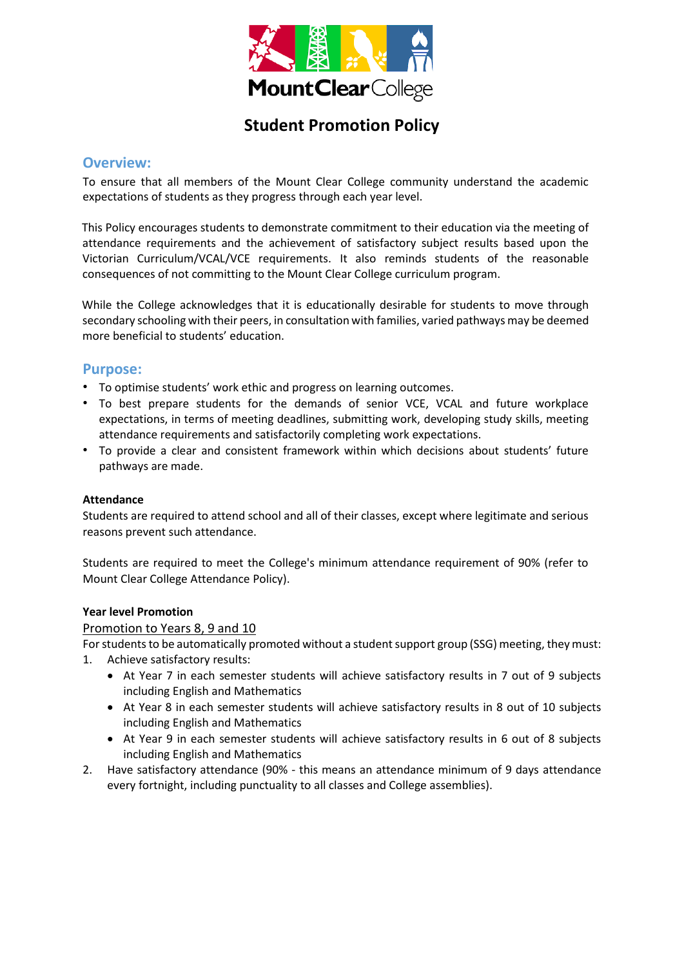

# **Student Promotion Policy**

## **Overview:**

To ensure that all members of the Mount Clear College community understand the academic expectations of students as they progress through each year level.

This Policy encourages students to demonstrate commitment to their education via the meeting of attendance requirements and the achievement of satisfactory subject results based upon the Victorian Curriculum/VCAL/VCE requirements. It also reminds students of the reasonable consequences of not committing to the Mount Clear College curriculum program.

While the College acknowledges that it is educationally desirable for students to move through secondary schooling with their peers, in consultation with families, varied pathways may be deemed more beneficial to students' education.

# **Purpose:**

- To optimise students' work ethic and progress on learning outcomes.
- To best prepare students for the demands of senior VCE, VCAL and future workplace expectations, in terms of meeting deadlines, submitting work, developing study skills, meeting attendance requirements and satisfactorily completing work expectations.
- To provide a clear and consistent framework within which decisions about students' future pathways are made.

#### **Attendance**

Students are required to attend school and all of their classes, except where legitimate and serious reasons prevent such attendance.

Students are required to meet the College's minimum attendance requirement of 90% (refer to Mount Clear College Attendance Policy).

#### **Year level Promotion**

#### Promotion to Years 8, 9 and 10

For students to be automatically promoted without a student support group (SSG) meeting, they must:

- 1. Achieve satisfactory results:
	- At Year 7 in each semester students will achieve satisfactory results in 7 out of 9 subjects including English and Mathematics
	- At Year 8 in each semester students will achieve satisfactory results in 8 out of 10 subjects including English and Mathematics
	- At Year 9 in each semester students will achieve satisfactory results in 6 out of 8 subjects including English and Mathematics
- 2. Have satisfactory attendance (90% this means an attendance minimum of 9 days attendance every fortnight, including punctuality to all classes and College assemblies).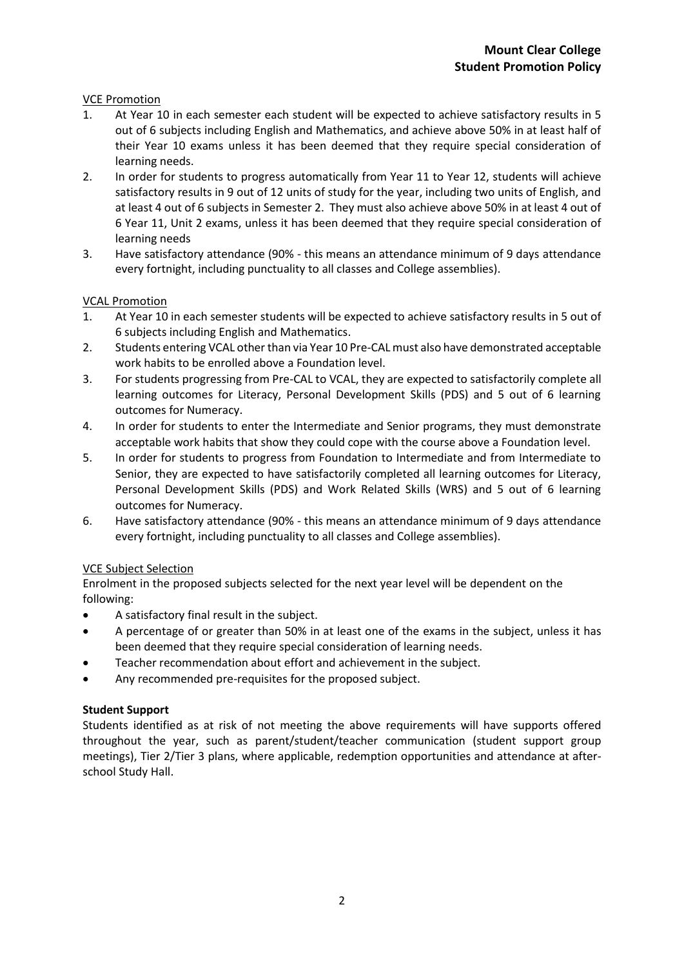## VCE Promotion

- 1. At Year 10 in each semester each student will be expected to achieve satisfactory results in 5 out of 6 subjects including English and Mathematics, and achieve above 50% in at least half of their Year 10 exams unless it has been deemed that they require special consideration of learning needs.
- 2. In order for students to progress automatically from Year 11 to Year 12, students will achieve satisfactory results in 9 out of 12 units of study for the year, including two units of English, and at least 4 out of 6 subjects in Semester 2. They must also achieve above 50% in at least 4 out of 6 Year 11, Unit 2 exams, unless it has been deemed that they require special consideration of learning needs
- 3. Have satisfactory attendance (90% this means an attendance minimum of 9 days attendance every fortnight, including punctuality to all classes and College assemblies).

### VCAL Promotion

- 1. At Year 10 in each semester students will be expected to achieve satisfactory results in 5 out of 6 subjects including English and Mathematics.
- 2. Students entering VCAL other than via Year 10 Pre-CAL must also have demonstrated acceptable work habits to be enrolled above a Foundation level.
- 3. For students progressing from Pre-CAL to VCAL, they are expected to satisfactorily complete all learning outcomes for Literacy, Personal Development Skills (PDS) and 5 out of 6 learning outcomes for Numeracy.
- 4. In order for students to enter the Intermediate and Senior programs, they must demonstrate acceptable work habits that show they could cope with the course above a Foundation level.
- 5. In order for students to progress from Foundation to Intermediate and from Intermediate to Senior, they are expected to have satisfactorily completed all learning outcomes for Literacy, Personal Development Skills (PDS) and Work Related Skills (WRS) and 5 out of 6 learning outcomes for Numeracy.
- 6. Have satisfactory attendance (90% this means an attendance minimum of 9 days attendance every fortnight, including punctuality to all classes and College assemblies).

### VCE Subject Selection

Enrolment in the proposed subjects selected for the next year level will be dependent on the following:

- A satisfactory final result in the subject.
- A percentage of or greater than 50% in at least one of the exams in the subject, unless it has been deemed that they require special consideration of learning needs.
- Teacher recommendation about effort and achievement in the subject.
- Any recommended pre-requisites for the proposed subject.

### **Student Support**

Students identified as at risk of not meeting the above requirements will have supports offered throughout the year, such as parent/student/teacher communication (student support group meetings), Tier 2/Tier 3 plans, where applicable, redemption opportunities and attendance at afterschool Study Hall.